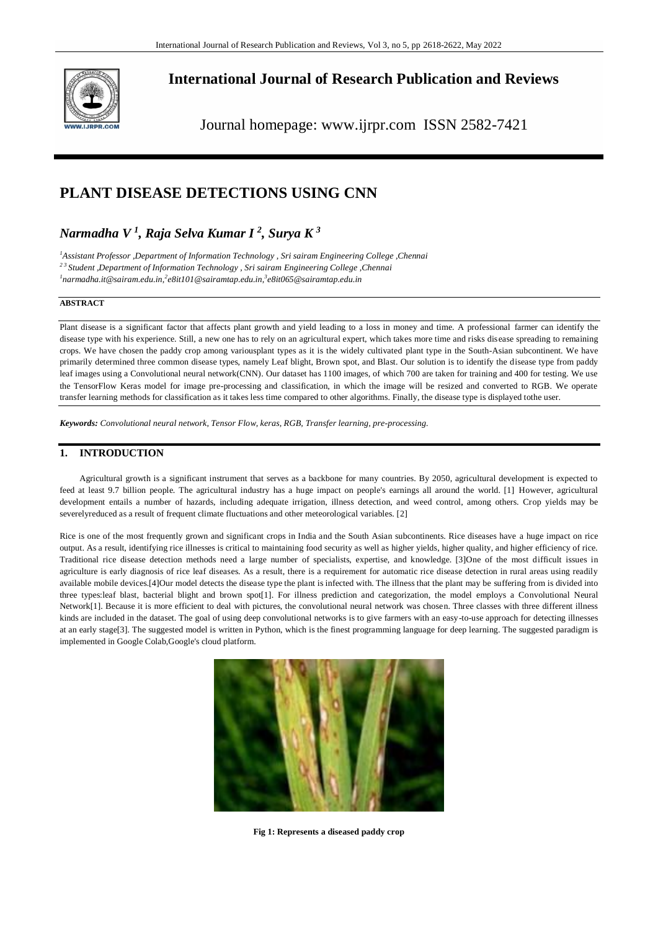

**International Journal of Research Publication and Reviews**

Journal homepage: www.ijrpr.com ISSN 2582-7421

# **PLANT DISEASE DETECTIONS USING CNN**

# *Narmadha V <sup>1</sup> , Raja Selva Kumar I <sup>2</sup> , Surya K <sup>3</sup>*

*<sup>1</sup>Assistant Professor ,Department of Information Technology , Sri sairam Engineering College ,Chennai 2 3 Student ,Department of Information Technology , Sri sairam Engineering College ,Chennai 1 narmadha.it@sairam.edu.in,<sup>2</sup> e8it101@sairamtap.edu.in,<sup>3</sup> e8it065@sairamtap.edu.in*

### **ABSTRACT**

Plant disease is a significant factor that affects plant growth and yield leading to a loss in money and time. A professional farmer can identify the disease type with his experience. Still, a new one has to rely on an agricultural expert, which takes more time and risks disease spreading to remaining crops. We have chosen the paddy crop among variousplant types as it is the widely cultivated plant type in the South-Asian subcontinent. We have primarily determined three common disease types, namely Leaf blight, Brown spot, and Blast. Our solution is to identify the disease type from paddy leaf images using a Convolutional neural network(CNN). Our dataset has 1100 images, of which 700 are taken for training and 400 for testing. We use the TensorFlow Keras model for image pre-processing and classification, in which the image will be resized and converted to RGB. We operate transfer learning methods for classification as it takes less time compared to other algorithms. Finally, the disease type is displayed tothe user.

*Keywords: Convolutional neural network, Tensor Flow, keras, RGB, Transfer learning, pre-processing.*

## **1. INTRODUCTION**

Agricultural growth is a significant instrument that serves as a backbone for many countries. By 2050, agricultural development is expected to feed at least 9.7 billion people. The agricultural industry has a huge impact on people's earnings all around the world. [1] However, agricultural development entails a number of hazards, including adequate irrigation, illness detection, and weed control, among others. Crop yields may be severelyreduced as a result of frequent climate fluctuations and other meteorological variables. [2]

Rice is one of the most frequently grown and significant crops in India and the South Asian subcontinents. Rice diseases have a huge impact on rice output. As a result, identifying rice illnesses is critical to maintaining food security as well as higher yields, higher quality, and higher efficiency of rice. Traditional rice disease detection methods need a large number of specialists, expertise, and knowledge. [3]One of the most difficult issues in agriculture is early diagnosis of rice leaf diseases. As a result, there is a requirement for automatic rice disease detection in rural areas using readily available mobile devices.[4]Our model detects the disease type the plant is infected with. The illness that the plant may be suffering from is divided into three types:leaf blast, bacterial blight and brown spot[1]. For illness prediction and categorization, the model employs a Convolutional Neural Network[1]. Because it is more efficient to deal with pictures, the convolutional neural network was chosen. Three classes with three different illness kinds are included in the dataset. The goal of using deep convolutional networks is to give farmers with an easy-to-use approach for detecting illnesses at an early stage[3]. The suggested model is written in Python, which is the finest programming language for deep learning. The suggested paradigm is implemented in Google Colab,Google's cloud platform.



**Fig 1: Represents a diseased paddy crop**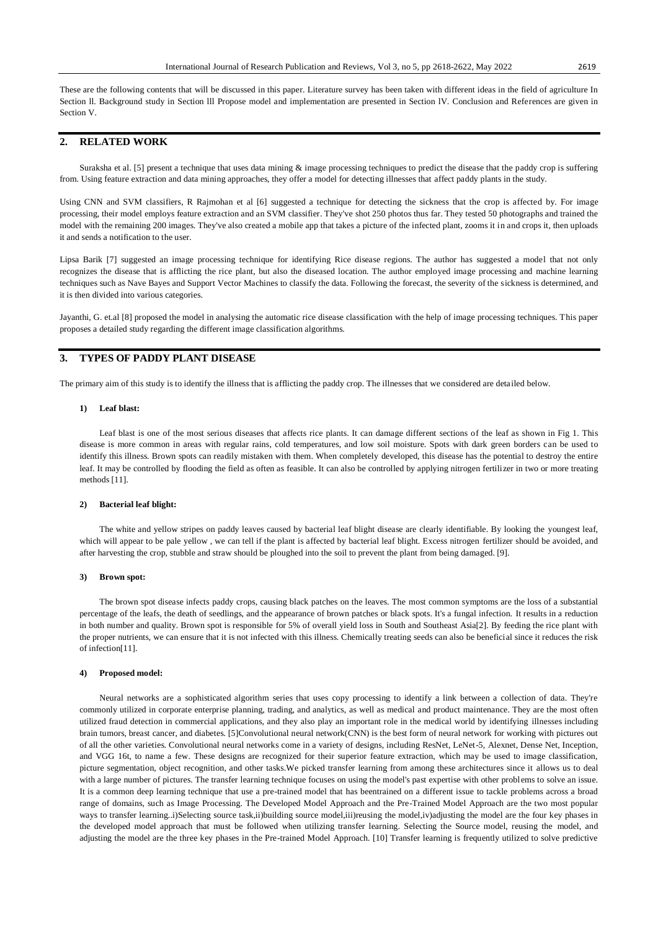These are the following contents that will be discussed in this paper. Literature survey has been taken with different ideas in the field of agriculture In Section ll. Background study in Section lll Propose model and implementation are presented in Section lV. Conclusion and References are given in Section V.

# **2. RELATED WORK**

Suraksha et al. [5] present a technique that uses data mining  $\&$  image processing techniques to predict the disease that the paddy crop is suffering from. Using feature extraction and data mining approaches, they offer a model for detecting illnesses that affect paddy plants in the study.

Using CNN and SVM classifiers, R Rajmohan et al [6] suggested a technique for detecting the sickness that the crop is affected by. For image processing, their model employs feature extraction and an SVM classifier. They've shot 250 photos thus far. They tested 50 photographs and trained the model with the remaining 200 images. They've also created a mobile app that takes a picture of the infected plant, zooms it in and crops it, then uploads it and sends a notification to the user.

Lipsa Barik [7] suggested an image processing technique for identifying Rice disease regions. The author has suggested a model that not only recognizes the disease that is afflicting the rice plant, but also the diseased location. The author employed image processing and machine learning techniques such as Nave Bayes and Support Vector Machines to classify the data. Following the forecast, the severity of the sickness is determined, and it is then divided into various categories.

Jayanthi, G. et.al [8] proposed the model in analysing the automatic rice disease classification with the help of image processing techniques. This paper proposes a detailed study regarding the different image classification algorithms.

# **3. TYPES OF PADDY PLANT DISEASE**

The primary aim of this study is to identify the illness that is afflicting the paddy crop. The illnesses that we considered are detailed below.

### **1) Leaf blast:**

Leaf blast is one of the most serious diseases that affects rice plants. It can damage different sections of the leaf as shown in Fig 1. This disease is more common in areas with regular rains, cold temperatures, and low soil moisture. Spots with dark green borders can be used to identify this illness. Brown spots can readily mistaken with them. When completely developed, this disease has the potential to destroy the entire leaf. It may be controlled by flooding the field as often as feasible. It can also be controlled by applying nitrogen fertilizer in two or more treating methods [11].

### **2) Bacterial leaf blight:**

The white and yellow stripes on paddy leaves caused by bacterial leaf blight disease are clearly identifiable. By looking the youngest leaf, which will appear to be pale yellow, we can tell if the plant is affected by bacterial leaf blight. Excess nitrogen fertilizer should be avoided, and after harvesting the crop, stubble and straw should be ploughed into the soil to prevent the plant from being damaged. [9].

#### **3) Brown spot:**

The brown spot disease infects paddy crops, causing black patches on the leaves. The most common symptoms are the loss of a substantial percentage of the leafs, the death of seedlings, and the appearance of brown patches or black spots. It's a fungal infection. It results in a reduction in both number and quality. Brown spot is responsible for 5% of overall yield loss in South and Southeast Asia[2]. By feeding the rice plant with the proper nutrients, we can ensure that it is not infected with this illness. Chemically treating seeds can also be beneficial since it reduces the risk of infection[11].

#### **4) Proposed model:**

Neural networks are a sophisticated algorithm series that uses copy processing to identify a link between a collection of data. They're commonly utilized in corporate enterprise planning, trading, and analytics, as well as medical and product maintenance. They are the most often utilized fraud detection in commercial applications, and they also play an important role in the medical world by identifying illnesses including brain tumors, breast cancer, and diabetes. [5]Convolutional neural network(CNN) is the best form of neural network for working with pictures out of all the other varieties. Convolutional neural networks come in a variety of designs, including ResNet, LeNet-5, Alexnet, Dense Net, Inception, and VGG 16t, to name a few. These designs are recognized for their superior feature extraction, which may be used to image classification, picture segmentation, object recognition, and other tasks.We picked transfer learning from among these architectures since it allows us to deal with a large number of pictures. The transfer learning technique focuses on using the model's past expertise with other problems to solve an issue. It is a common deep learning technique that use a pre-trained model that has beentrained on a different issue to tackle problems across a broad range of domains, such as Image Processing. The Developed Model Approach and the Pre-Trained Model Approach are the two most popular ways to transfer learning..i)Selecting source task,ii)building source model,iii)reusing the model,iv)adjusting the model are the four key phases in the developed model approach that must be followed when utilizing transfer learning. Selecting the Source model, reusing the model, and adjusting the model are the three key phases in the Pre-trained Model Approach. [10] Transfer learning is frequently utilized to solve predictive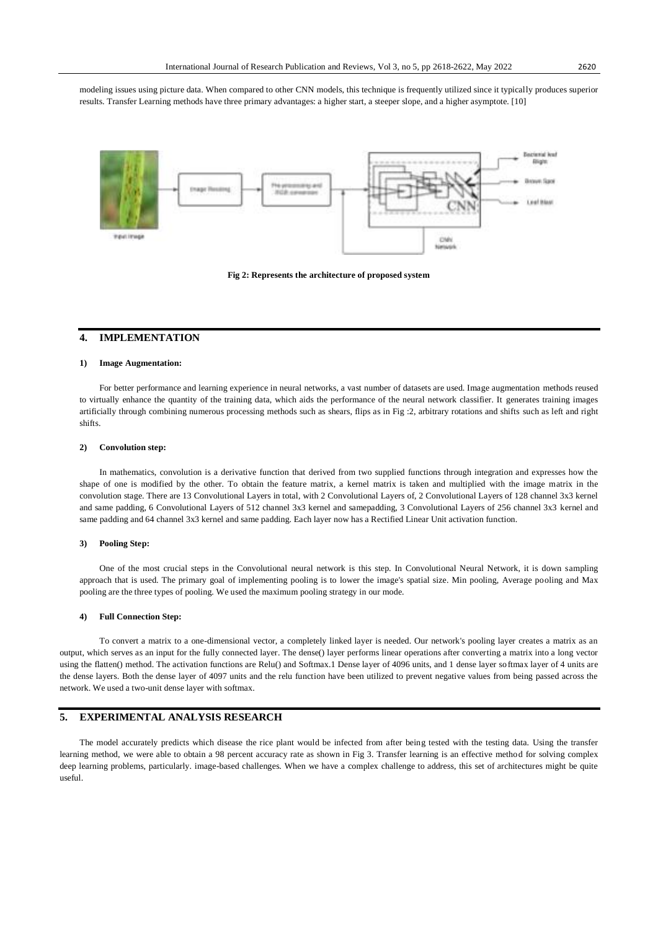modeling issues using picture data. When compared to other CNN models, this technique is frequently utilized since it typically produces superior results. Transfer Learning methods have three primary advantages: a higher start, a steeper slope, and a higher asymptote. [10]





## **4. IMPLEMENTATION**

### **1) Image Augmentation:**

For better performance and learning experience in neural networks, a vast number of datasets are used. Image augmentation methods reused to virtually enhance the quantity of the training data, which aids the performance of the neural network classifier. It generates training images artificially through combining numerous processing methods such as shears, flips as in Fig :2, arbitrary rotations and shifts such as left and right shifts.

#### **2) Convolution step:**

In mathematics, convolution is a derivative function that derived from two supplied functions through integration and expresses how the shape of one is modified by the other. To obtain the feature matrix, a kernel matrix is taken and multiplied with the image matrix in the convolution stage. There are 13 Convolutional Layers in total, with 2 Convolutional Layers of, 2 Convolutional Layers of 128 channel 3x3 kernel and same padding, 6 Convolutional Layers of 512 channel 3x3 kernel and samepadding, 3 Convolutional Layers of 256 channel 3x3 kernel and same padding and 64 channel 3x3 kernel and same padding. Each layer now has a Rectified Linear Unit activation function.

### **3) Pooling Step:**

One of the most crucial steps in the Convolutional neural network is this step. In Convolutional Neural Network, it is down sampling approach that is used. The primary goal of implementing pooling is to lower the image's spatial size. Min pooling, Average pooling and Max pooling are the three types of pooling. We used the maximum pooling strategy in our mode.

### **4) Full Connection Step:**

To convert a matrix to a one-dimensional vector, a completely linked layer is needed. Our network's pooling layer creates a matrix as an output, which serves as an input for the fully connected layer. The dense() layer performs linear operations after converting a matrix into a long vector using the flatten() method. The activation functions are Relu() and Softmax.1 Dense layer of 4096 units, and 1 dense layer softmax layer of 4 units are the dense layers. Both the dense layer of 4097 units and the relu function have been utilized to prevent negative values from being passed across the network. We used a two-unit dense layer with softmax.

### **5. EXPERIMENTAL ANALYSIS RESEARCH**

The model accurately predicts which disease the rice plant would be infected from after being tested with the testing data. Using the transfer learning method, we were able to obtain a 98 percent accuracy rate as shown in Fig 3. Transfer learning is an effective method for solving complex deep learning problems, particularly. image-based challenges. When we have a complex challenge to address, this set of architectures might be quite useful.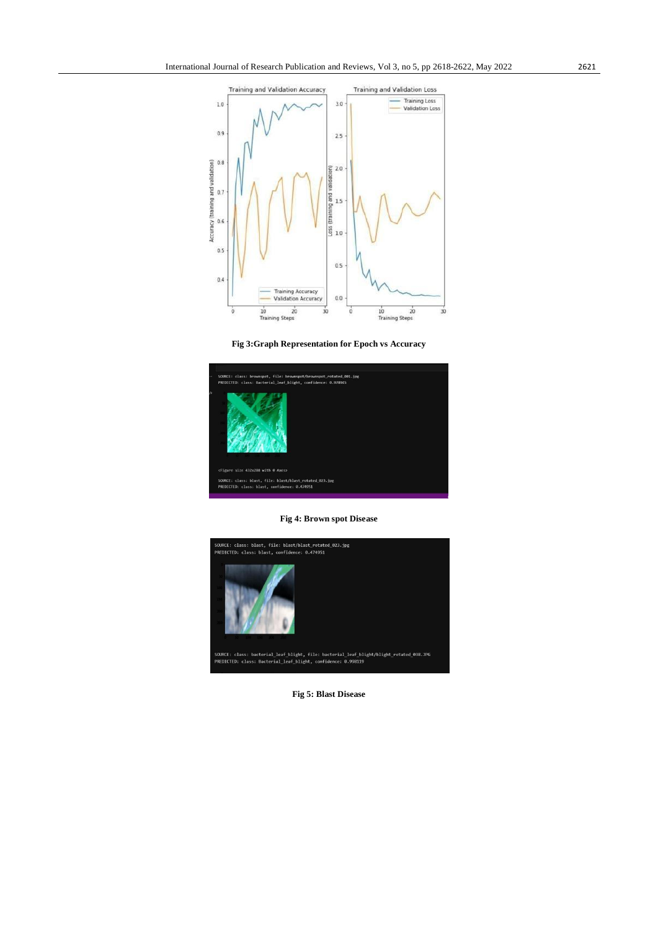

**Fig 3:Graph Representation for Epoch vs Accuracy**



**Fig 4: Brown spot Disease**



**Fig 5: Blast Disease**